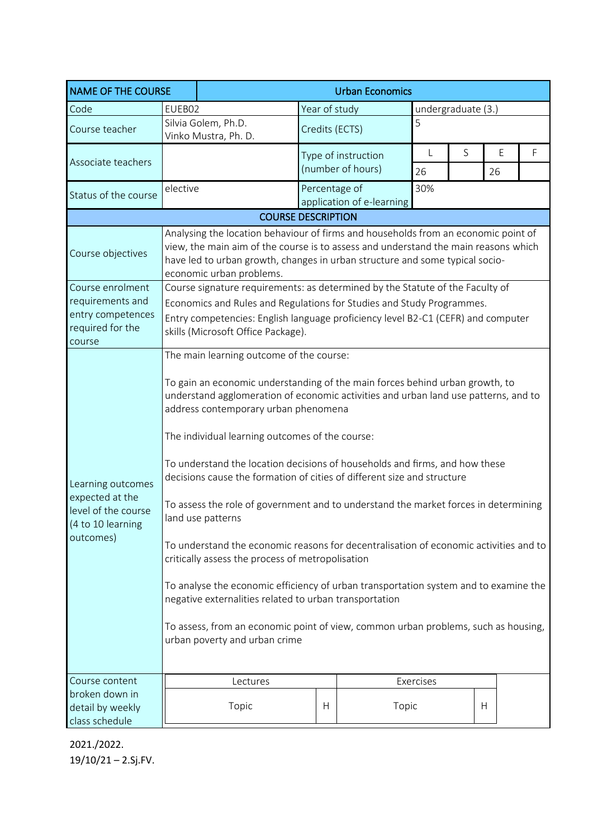| <b>NAME OF THE COURSE</b>                                                                     |                                                                                                                                                                                                                                                                                                                                                                                                                                                                                                                                                                                                                                                                                                                                                                                                                                                                                                                                                                                                        |                                                                                                                                                                                                                                                                                       |                | <b>Urban Economics</b>    |                    |   |    |   |  |
|-----------------------------------------------------------------------------------------------|--------------------------------------------------------------------------------------------------------------------------------------------------------------------------------------------------------------------------------------------------------------------------------------------------------------------------------------------------------------------------------------------------------------------------------------------------------------------------------------------------------------------------------------------------------------------------------------------------------------------------------------------------------------------------------------------------------------------------------------------------------------------------------------------------------------------------------------------------------------------------------------------------------------------------------------------------------------------------------------------------------|---------------------------------------------------------------------------------------------------------------------------------------------------------------------------------------------------------------------------------------------------------------------------------------|----------------|---------------------------|--------------------|---|----|---|--|
| Code                                                                                          | EUEB02                                                                                                                                                                                                                                                                                                                                                                                                                                                                                                                                                                                                                                                                                                                                                                                                                                                                                                                                                                                                 |                                                                                                                                                                                                                                                                                       | Year of study  |                           | undergraduate (3.) |   |    |   |  |
| Course teacher                                                                                |                                                                                                                                                                                                                                                                                                                                                                                                                                                                                                                                                                                                                                                                                                                                                                                                                                                                                                                                                                                                        | Silvia Golem, Ph.D.<br>Vinko Mustra, Ph. D.                                                                                                                                                                                                                                           | Credits (ECTS) |                           | 5                  |   |    |   |  |
| Associate teachers                                                                            |                                                                                                                                                                                                                                                                                                                                                                                                                                                                                                                                                                                                                                                                                                                                                                                                                                                                                                                                                                                                        |                                                                                                                                                                                                                                                                                       |                | Type of instruction       |                    | S | E  | F |  |
|                                                                                               |                                                                                                                                                                                                                                                                                                                                                                                                                                                                                                                                                                                                                                                                                                                                                                                                                                                                                                                                                                                                        |                                                                                                                                                                                                                                                                                       |                | (number of hours)         |                    |   | 26 |   |  |
| Status of the course                                                                          | elective                                                                                                                                                                                                                                                                                                                                                                                                                                                                                                                                                                                                                                                                                                                                                                                                                                                                                                                                                                                               |                                                                                                                                                                                                                                                                                       | Percentage of  | application of e-learning | 30%                |   |    |   |  |
|                                                                                               |                                                                                                                                                                                                                                                                                                                                                                                                                                                                                                                                                                                                                                                                                                                                                                                                                                                                                                                                                                                                        | <b>COURSE DESCRIPTION</b>                                                                                                                                                                                                                                                             |                |                           |                    |   |    |   |  |
| Course objectives                                                                             |                                                                                                                                                                                                                                                                                                                                                                                                                                                                                                                                                                                                                                                                                                                                                                                                                                                                                                                                                                                                        | Analysing the location behaviour of firms and households from an economic point of<br>view, the main aim of the course is to assess and understand the main reasons which<br>have led to urban growth, changes in urban structure and some typical socio-<br>economic urban problems. |                |                           |                    |   |    |   |  |
| Course enrolment<br>requirements and<br>entry competences<br>required for the<br>course       | Course signature requirements: as determined by the Statute of the Faculty of<br>Economics and Rules and Regulations for Studies and Study Programmes.<br>Entry competencies: English language proficiency level B2-C1 (CEFR) and computer<br>skills (Microsoft Office Package).                                                                                                                                                                                                                                                                                                                                                                                                                                                                                                                                                                                                                                                                                                                       |                                                                                                                                                                                                                                                                                       |                |                           |                    |   |    |   |  |
| Learning outcomes<br>expected at the<br>level of the course<br>(4 to 10 learning<br>outcomes) | The main learning outcome of the course:<br>To gain an economic understanding of the main forces behind urban growth, to<br>understand agglomeration of economic activities and urban land use patterns, and to<br>address contemporary urban phenomena<br>The individual learning outcomes of the course:<br>To understand the location decisions of households and firms, and how these<br>decisions cause the formation of cities of different size and structure<br>To assess the role of government and to understand the market forces in determining<br>land use patterns<br>To understand the economic reasons for decentralisation of economic activities and to<br>critically assess the process of metropolisation<br>To analyse the economic efficiency of urban transportation system and to examine the<br>negative externalities related to urban transportation<br>To assess, from an economic point of view, common urban problems, such as housing,<br>urban poverty and urban crime |                                                                                                                                                                                                                                                                                       |                |                           |                    |   |    |   |  |
| Course content<br>broken down in<br>detail by weekly<br>class schedule                        |                                                                                                                                                                                                                                                                                                                                                                                                                                                                                                                                                                                                                                                                                                                                                                                                                                                                                                                                                                                                        | Lectures<br>Topic                                                                                                                                                                                                                                                                     | Н              | Topic                     | Exercises          |   | H  |   |  |

2021./2022. 19/10/21 – 2.Sj.FV.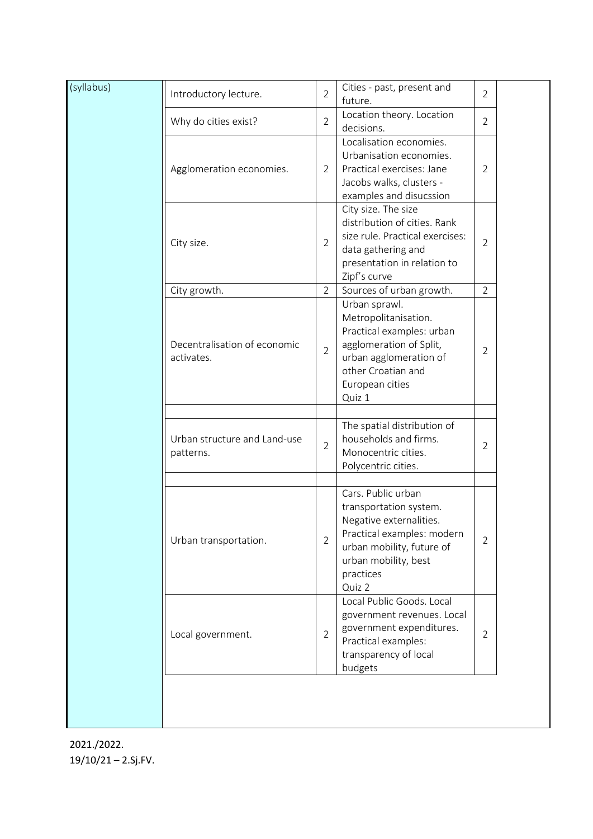| (syllabus) | Introductory lecture.                      | $\overline{2}$ | Cities - past, present and<br>future.                                                                                                                                             | $\overline{2}$ |  |
|------------|--------------------------------------------|----------------|-----------------------------------------------------------------------------------------------------------------------------------------------------------------------------------|----------------|--|
|            | Why do cities exist?                       |                | Location theory. Location<br>decisions.                                                                                                                                           | $\overline{2}$ |  |
|            | Agglomeration economies.                   | $\overline{2}$ | Localisation economies.<br>Urbanisation economies.<br>Practical exercises: Jane<br>Jacobs walks, clusters -<br>examples and disucssion                                            | $\overline{2}$ |  |
|            | City size.                                 | $\overline{2}$ | City size. The size<br>distribution of cities. Rank<br>size rule. Practical exercises:<br>data gathering and<br>presentation in relation to<br>Zipf's curve                       | $\overline{2}$ |  |
|            | City growth.                               | $\overline{2}$ | Sources of urban growth.                                                                                                                                                          | $\overline{2}$ |  |
|            | Decentralisation of economic<br>activates. | $\overline{2}$ | Urban sprawl.<br>Metropolitanisation.<br>Practical examples: urban<br>agglomeration of Split,<br>urban agglomeration of<br>other Croatian and<br>European cities<br>Quiz 1        | $\overline{2}$ |  |
|            | Urban structure and Land-use<br>patterns.  | $\overline{2}$ | The spatial distribution of<br>households and firms.<br>Monocentric cities.<br>Polycentric cities.                                                                                | $\overline{2}$ |  |
|            | Urban transportation.                      | $\overline{2}$ | Cars. Public urban<br>transportation system.<br>Negative externalities.<br>Practical examples: modern<br>urban mobility, future of<br>urban mobility, best<br>practices<br>Quiz 2 | $\overline{2}$ |  |
|            | Local government.                          | $\overline{2}$ | Local Public Goods, Local<br>government revenues. Local<br>government expenditures.<br>Practical examples:<br>transparency of local<br>budgets                                    | $\overline{2}$ |  |

2021./2022. 19/10/21 – 2.Sj.FV.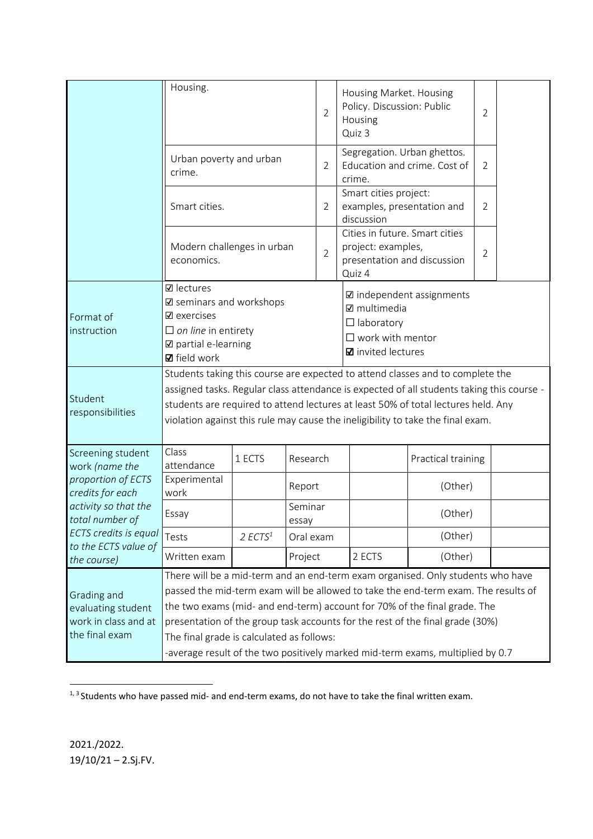|                                                                                                                                                                                          | Housing.                                                                                                                                                                                                                                                                                                                                                                                                                                                           |                       | $\overline{2}$   | Housing<br>Quiz 3                                                                                                                          | Housing Market. Housing<br>Policy. Discussion: Public<br>$\overline{2}$ |                                                                                 |  |  |
|------------------------------------------------------------------------------------------------------------------------------------------------------------------------------------------|--------------------------------------------------------------------------------------------------------------------------------------------------------------------------------------------------------------------------------------------------------------------------------------------------------------------------------------------------------------------------------------------------------------------------------------------------------------------|-----------------------|------------------|--------------------------------------------------------------------------------------------------------------------------------------------|-------------------------------------------------------------------------|---------------------------------------------------------------------------------|--|--|
|                                                                                                                                                                                          | Urban poverty and urban<br>crime.                                                                                                                                                                                                                                                                                                                                                                                                                                  |                       |                  |                                                                                                                                            | crime.                                                                  | Segregation. Urban ghettos.<br>Education and crime. Cost of<br>$\overline{2}$   |  |  |
|                                                                                                                                                                                          | Smart cities.                                                                                                                                                                                                                                                                                                                                                                                                                                                      |                       |                  |                                                                                                                                            | Smart cities project:<br>discussion                                     | examples, presentation and<br>$\overline{2}$                                    |  |  |
|                                                                                                                                                                                          | Modern challenges in urban<br>economics.                                                                                                                                                                                                                                                                                                                                                                                                                           |                       |                  | $\overline{2}$                                                                                                                             | project: examples,<br>Quiz 4                                            | Cities in future. Smart cities<br>$\overline{2}$<br>presentation and discussion |  |  |
| Format of<br>instruction                                                                                                                                                                 | $\boxtimes$ lectures<br>☑ seminars and workshops<br>$\boxtimes$ exercises<br>$\Box$ on line in entirety<br>☑ partial e-learning<br><b>Ø</b> field work                                                                                                                                                                                                                                                                                                             |                       |                  | $\boxtimes$ independent assignments<br><b>Ø</b> multimedia<br>$\Box$ laboratory<br>$\square$ work with mentor<br><b>Ø</b> invited lectures |                                                                         |                                                                                 |  |  |
| Student<br>responsibilities                                                                                                                                                              | Students taking this course are expected to attend classes and to complete the<br>assigned tasks. Regular class attendance is expected of all students taking this course -<br>students are required to attend lectures at least 50% of total lectures held. Any<br>violation against this rule may cause the ineligibility to take the final exam.                                                                                                                |                       |                  |                                                                                                                                            |                                                                         |                                                                                 |  |  |
| Screening student<br>work (name the<br>proportion of ECTS<br>credits for each<br>activity so that the<br>total number of<br>ECTS credits is equal<br>to the ECTS value of<br>the course) | Class<br>attendance                                                                                                                                                                                                                                                                                                                                                                                                                                                | 1 ECTS                | Research         |                                                                                                                                            | Practical training                                                      |                                                                                 |  |  |
|                                                                                                                                                                                          | Experimental<br>work                                                                                                                                                                                                                                                                                                                                                                                                                                               |                       | Report           |                                                                                                                                            |                                                                         | (Other)                                                                         |  |  |
|                                                                                                                                                                                          | Essay                                                                                                                                                                                                                                                                                                                                                                                                                                                              |                       | Seminar<br>essay |                                                                                                                                            |                                                                         | (Other)                                                                         |  |  |
|                                                                                                                                                                                          | Tests                                                                                                                                                                                                                                                                                                                                                                                                                                                              | $2$ ECTS <sup>1</sup> | Oral exam        |                                                                                                                                            |                                                                         | (Other)                                                                         |  |  |
|                                                                                                                                                                                          | Written exam                                                                                                                                                                                                                                                                                                                                                                                                                                                       |                       | Project          |                                                                                                                                            | 2 ECTS                                                                  | (Other)                                                                         |  |  |
| Grading and<br>evaluating student<br>work in class and at<br>the final exam                                                                                                              | There will be a mid-term and an end-term exam organised. Only students who have<br>passed the mid-term exam will be allowed to take the end-term exam. The results of<br>the two exams (mid- and end-term) account for 70% of the final grade. The<br>presentation of the group task accounts for the rest of the final grade (30%)<br>The final grade is calculated as follows:<br>-average result of the two positively marked mid-term exams, multiplied by 0.7 |                       |                  |                                                                                                                                            |                                                                         |                                                                                 |  |  |

<sup>&</sup>lt;sup>1, 3</sup> Students who have passed mid- and end-term exams, do not have to take the final written exam.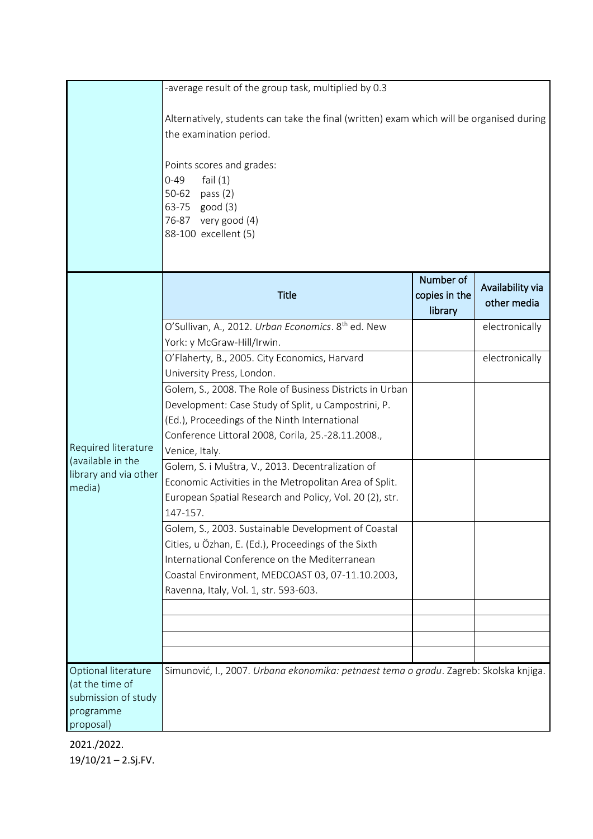|                                                                                         | -average result of the group task, multiplied by 0.3                                                                                                                                                                                                          |                                       |                                 |
|-----------------------------------------------------------------------------------------|---------------------------------------------------------------------------------------------------------------------------------------------------------------------------------------------------------------------------------------------------------------|---------------------------------------|---------------------------------|
|                                                                                         | Alternatively, students can take the final (written) exam which will be organised during<br>the examination period.<br>Points scores and grades:<br>$0 - 49$<br>fail $(1)$<br>50-62 pass (2)<br>63-75 good (3)<br>76-87 very good (4)<br>88-100 excellent (5) |                                       |                                 |
|                                                                                         | <b>Title</b>                                                                                                                                                                                                                                                  | Number of<br>copies in the<br>library | Availability via<br>other media |
|                                                                                         | O'Sullivan, A., 2012. Urban Economics. 8 <sup>th</sup> ed. New                                                                                                                                                                                                |                                       | electronically                  |
|                                                                                         | York: y McGraw-Hill/Irwin.                                                                                                                                                                                                                                    |                                       | electronically                  |
|                                                                                         | O'Flaherty, B., 2005. City Economics, Harvard<br>University Press, London.                                                                                                                                                                                    |                                       |                                 |
|                                                                                         | Golem, S., 2008. The Role of Business Districts in Urban                                                                                                                                                                                                      |                                       |                                 |
|                                                                                         | Development: Case Study of Split, u Campostrini, P.                                                                                                                                                                                                           |                                       |                                 |
|                                                                                         | (Ed.), Proceedings of the Ninth International                                                                                                                                                                                                                 |                                       |                                 |
|                                                                                         | Conference Littoral 2008, Corila, 25.-28.11.2008.,                                                                                                                                                                                                            |                                       |                                 |
| Required literature                                                                     | Venice, Italy.                                                                                                                                                                                                                                                |                                       |                                 |
| (available in the                                                                       | Golem, S. i Muštra, V., 2013. Decentralization of                                                                                                                                                                                                             |                                       |                                 |
| library and via other<br>media)                                                         | Economic Activities in the Metropolitan Area of Split.                                                                                                                                                                                                        |                                       |                                 |
|                                                                                         | European Spatial Research and Policy, Vol. 20 (2), str.                                                                                                                                                                                                       |                                       |                                 |
|                                                                                         | 147-157.                                                                                                                                                                                                                                                      |                                       |                                 |
|                                                                                         | Golem, S., 2003. Sustainable Development of Coastal                                                                                                                                                                                                           |                                       |                                 |
|                                                                                         | Cities, u Özhan, E. (Ed.), Proceedings of the Sixth                                                                                                                                                                                                           |                                       |                                 |
|                                                                                         | International Conference on the Mediterranean                                                                                                                                                                                                                 |                                       |                                 |
|                                                                                         | Coastal Environment, MEDCOAST 03, 07-11.10.2003,                                                                                                                                                                                                              |                                       |                                 |
|                                                                                         | Ravenna, Italy, Vol. 1, str. 593-603.                                                                                                                                                                                                                         |                                       |                                 |
|                                                                                         |                                                                                                                                                                                                                                                               |                                       |                                 |
|                                                                                         |                                                                                                                                                                                                                                                               |                                       |                                 |
|                                                                                         |                                                                                                                                                                                                                                                               |                                       |                                 |
| Optional literature<br>(at the time of<br>submission of study<br>programme<br>proposal) | Simunović, I., 2007. Urbana ekonomika: petnaest tema o gradu. Zagreb: Skolska knjiga.                                                                                                                                                                         |                                       |                                 |

2021./2022. 19/10/21 – 2.Sj.FV.